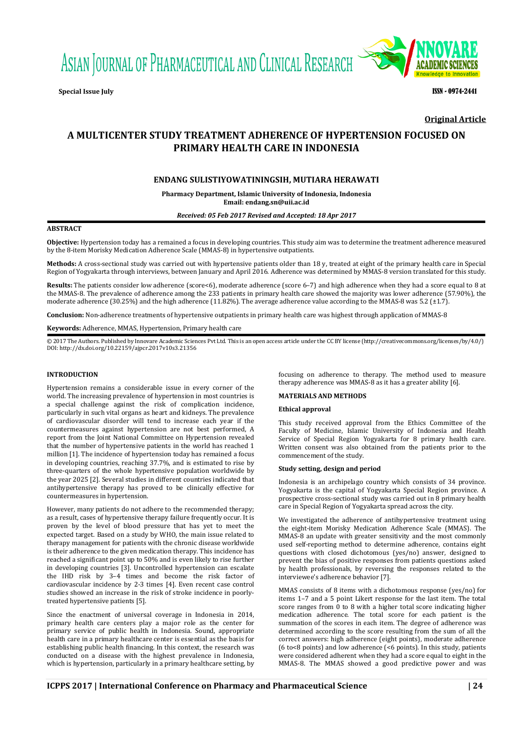ASIAN JOURNAL OF PHARMACEUTICAL AND CLINICAL RESEARCH

**Special Issue July** ISSN - 0974-2441



**Original Article** 

# **A MULTICENTER STUDY TREATMENT ADHERENCE OF HYPERTENSION FOCUSED ON PRIMARY HEALTH CARE IN INDONESIA**

## **ENDANG SULISTIYOWATININGSIH, MUTIARA HERAWATI**

**Pharmacy Department, Islamic University of Indonesia, Indonesia Email: endang.sn@uii.ac.id** 

*Received: 05 Feb 2017 Revised and Accepted: 18 Apr 2017*

#### **ABSTRACT**

**Objective:** Hypertension today has a remained a focus in developing countries. This study aim was to determine the treatment adherence measured by the 8-item Morisky Medication Adherence Scale (MMAS-8) in hypertensive outpatients.

**Methods:** A cross-sectional study was carried out with hypertensive patients older than 18 y, treated at eight of the primary health care in Special Region of Yogyakarta through interviews, between January and April 2016. Adherence was determined by MMAS-8 version translated for this study.

**Results:** The patients consider low adherence (score<6), moderate adherence (score 6–7) and high adherence when they had a score equal to 8 at the MMAS-8. The prevalence of adherence among the 233 patients in primary health care showed the majority was lower adherence (57.90%), the moderate adherence (30.25%) and the high adherence (11.82%). The average adherence value according to the MMAS-8 was 5.2 (±1.7).

**Conclusion:** Non-adherence treatments of hypertensive outpatients in primary health care was highest through application of MMAS-8

**Keywords:** Adherence, MMAS, Hypertension, Primary health care

© 2017 The Authors. Published by Innovare Academic Sciences Pvt Ltd. This is an open access article under the CC BY license (http://creativecommons.org/licenses/by/4.0/) DOI: http://dx.doi.org/10.22159/ajpcr.2017v10s3.21356

#### **INTRODUCTION**

Hypertension remains a considerable issue in every corner of the world. The increasing prevalence of hypertension in most countries is a special challenge against the risk of complication incidence, particularly in such vital organs as heart and kidneys. The prevalence of cardiovascular disorder will tend to increase each year if the countermeasures against hypertension are not best performed, A report from the Joint National Committee on Hypertension revealed that the number of hypertensive patients in the world has reached 1 million [1]. The incidence of hypertension today has remained a focus in developing countries, reaching 37.7%, and is estimated to rise by three-quarters of the whole hypertensive population worldwide by the year 2025 [2]. Several studies in different countries indicated that antihypertensive therapy has proved to be clinically effective for countermeasures in hypertension.

However, many patients do not adhere to the recommended therapy; as a result, cases of hypertensive therapy failure frequently occur. It is proven by the level of blood pressure that has yet to meet the expected target. Based on a study by WHO, the main issue related to therapy management for patients with the chronic disease worldwide is their adherence to the given medication therapy. This incidence has reached a significant point up to 50% and is even likely to rise further in developing countries [3]. Uncontrolled hypertension can escalate the IHD risk by 3–4 times and become the risk factor of cardiovascular incidence by 2-3 times [4]. Even recent case control studies showed an increase in the risk of stroke incidence in poorlytreated hypertensive patients [5].

Since the enactment of universal coverage in Indonesia in 2014, primary health care centers play a major role as the center for primary service of public health in Indonesia. Sound, appropriate health care in a primary healthcare center is essential as the basis for establishing public health financing. In this context, the research was conducted on a disease with the highest prevalence in Indonesia, which is hypertension, particularly in a primary healthcare setting, by focusing on adherence to therapy. The method used to measure therapy adherence was MMAS-8 as it has a greater ability [6].

# **MATERIALS AND METHODS**

## **Ethical approval**

This study received approval from the Ethics Committee of the Faculty of Medicine, Islamic University of Indonesia and Health Service of Special Region Yogyakarta for 8 primary health care. Written consent was also obtained from the patients prior to the commencement of the study.

#### **Study setting, design and period**

Indonesia is an archipelago country which consists of 34 province. Yogyakarta is the capital of Yogyakarta Special Region province. A prospective cross-sectional study was carried out in 8 primary health care in Special Region of Yogyakarta spread across the city.

We investigated the adherence of antihypertensive treatment using the eight-item Morisky Medication Adherence Scale (MMAS). The MMAS-8 an update with greater sensitivity and the most commonly used self-reporting method to determine adherence, contains eight questions with closed dichotomous (yes/no) answer, designed to prevent the bias of positive responses from patients questions asked by health professionals, by reversing the responses related to the interviewee's adherence behavior [7].

MMAS consists of 8 items with a dichotomous response (yes/no) for items 1–7 and a 5 point Likert response for the last item. The total score ranges from 0 to 8 with a higher total score indicating higher medication adherence. The total score for each patient is the summation of the scores in each item. The degree of adherence was determined according to the score resulting from the sum of all the correct answers: high adherence (eight points), moderate adherence (6 to<8 points) and low adherence (<6 points). In this study, patients were considered adherent when they had a score equal to eight in the MMAS-8. The MMAS showed a good predictive power and was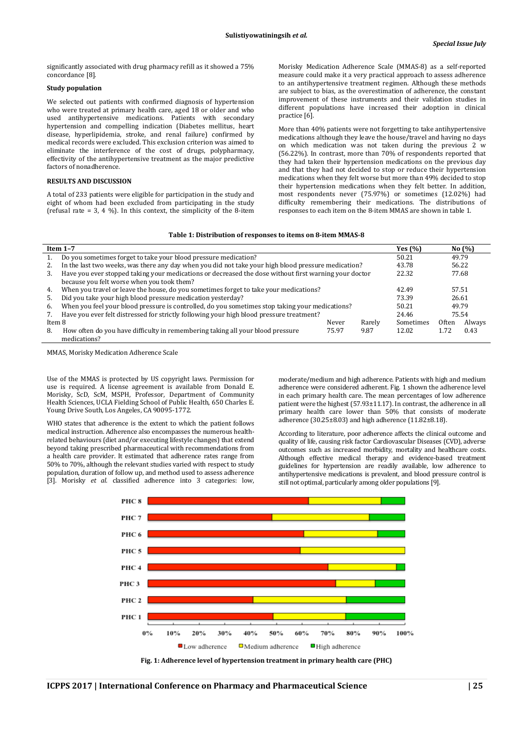significantly associated with drug pharmacy refill as it showed a 75% concordance [8].

#### **Study population**

We selected out patients with confirmed diagnosis of hypertension who were treated at primary health care, aged 18 or older and who used antihypertensive medications. Patients with secondary hypertension and compelling indication (Diabetes mellitus, heart disease, hyperlipidemia, stroke, and renal failure) confirmed by medical records were excluded. This exclusion criterion was aimed to eliminate the interference of the cost of drugs, polypharmacy, effectivity of the antihypertensive treatment as the major predictive factors of nonadherence.

## **RESULTS AND DISCUSSION**

A total of 233 patients were eligible for participation in the study and eight of whom had been excluded from participating in the study (refusal rate =  $3, 4$  %). In this context, the simplicity of the 8-item

Morisky Medication Adherence Scale (MMAS-8) as a self-reported measure could make it a very practical approach to assess adherence to an antihypertensive treatment regimen. Although these methods are subject to bias, as the overestimation of adherence, the constant improvement of these instruments and their validation studies in different populations have increased their adoption in clinical practice [6].

More than 40% patients were not forgetting to take antihypertensive medications although they leave the house/travel and having no days on which medication was not taken during the previous 2 w (56.22%). In contrast, more than 70% of respondents reported that they had taken their hypertension medications on the previous day and that they had not decided to stop or reduce their hypertension medications when they felt worse but more than 49% decided to stop their hypertension medications when they felt better. In addition, most respondents never (75.97%) or sometimes (12.02%) had difficulty remembering their medications. The distributions of responses to each item on the 8-item MMAS are shown in table 1.

## **Table 1: Distribution of responses to items on 8-item MMAS-8**

|        | Item $1-7$                                                                                            |       |        | Yes $(\%)$ | No (%)       |        |
|--------|-------------------------------------------------------------------------------------------------------|-------|--------|------------|--------------|--------|
| 1.     | Do you sometimes forget to take your blood pressure medication?                                       |       |        | 50.21      | 49.79        |        |
| 2.     | In the last two weeks, was there any day when you did not take your high blood pressure medication?   |       |        |            | 56.22        |        |
| 3.     | Have you ever stopped taking your medications or decreased the dose without first warning your doctor |       |        |            | 77.68        |        |
|        | because you felt worse when you took them?                                                            |       |        |            |              |        |
| 4.     | When you travel or leave the house, do you sometimes forget to take your medications?                 |       |        |            | 57.51        |        |
| 5.     | Did you take your high blood pressure medication yesterday?                                           |       |        |            | 26.61        |        |
| 6.     | When you feel your blood pressure is controlled, do you sometimes stop taking your medications?       |       |        | 50.21      | 49.79        |        |
| 7.     | Have you ever felt distressed for strictly following your high blood pressure treatment?              |       |        |            | 75.54        |        |
| Item 8 |                                                                                                       | Never | Rarely | Sometimes  | <b>Often</b> | Always |
| 8.     | How often do you have difficulty in remembering taking all your blood pressure                        | 75.97 | 9.87   | 12.02      | 1.72         | 0.43   |
|        | medications?                                                                                          |       |        |            |              |        |

MMAS, Morisky Medication Adherence Scale

Use of the MMAS is protected by US copyright laws. Permission for use is required. A license agreement is available from Donald E. Morisky, ScD, ScM, MSPH, Professor, Department of Community Health Sciences, UCLA Fielding School of Public Health, 650 Charles E. Young Drive South, Los Angeles, CA 90095-1772.

WHO states that adherence is the extent to which the patient follows medical instruction. Adherence also encompasses the numerous healthrelated behaviours (diet and/or executing lifestyle changes) that extend beyond taking prescribed pharmaceutical with recommendations from a health care provider. It estimated that adherence rates range from 50% to 70%, although the relevant studies varied with respect to study population, duration of follow up, and method used to assess adherence [3]. Morisky *et al.* classified adherence into 3 categories: low, moderate/medium and high adherence. Patients with high and medium adherence were considered adherent. Fig. 1 shown the adherence level in each primary health care. The mean percentages of low adherence patient were the highest (57.93±11.17). In contrast, the adherence in all primary health care lower than 50% that consists of moderate adherence (30.25±8.03) and high adherence (11.82±8.18).

According to literature, poor adherence affects the clinical outcome and quality of life, causing risk factor Cardiovascular Diseases (CVD), adverse outcomes such as increased morbidity, mortality and healthcare costs. Although effective medical therapy and evidence-based treatment guidelines for hypertension are readily available, low adherence to antihypertensive medications is prevalent, and blood pressure control is still not optimal, particularly among older populations [9].



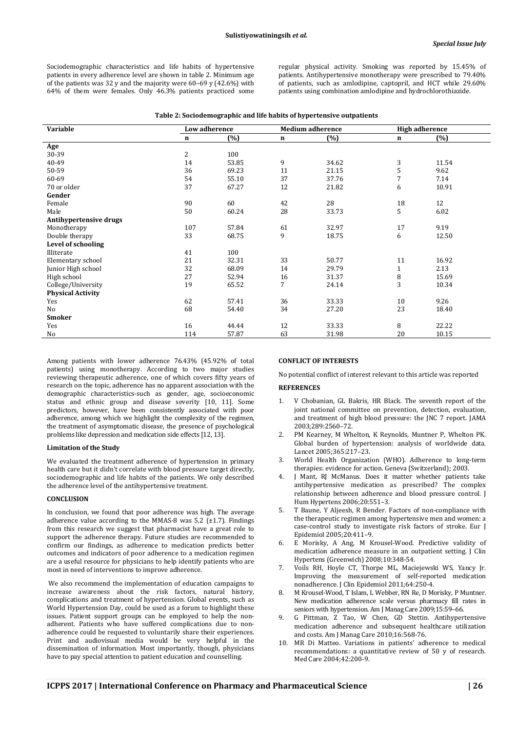**Table 2: Sociodemographic and life habits of hypertensive outpatients**

Sociodemographic characteristics and life habits of hypertensive patients in every adherence level are shown in table 2. Minimum age of the patients was 32 y and the majority were 60–69 y (42.6%) with 64% of them were females. Only 46.3% patients practiced some regular physical activity. Smoking was reported by 15.45% of patients. Antihypertensive monotherapy were prescribed to 79.40% of patients, such as amlodipine, captopril, and HCT while 29.60% patients using combination amlodipine and hydrochlorothiazide.

| Variable                      | <b>Low adherence</b> |        |                | <b>Medium adherence</b> |                | <b>High adherence</b> |  |
|-------------------------------|----------------------|--------|----------------|-------------------------|----------------|-----------------------|--|
|                               | $\mathbf n$          | $(\%)$ | $\mathbf n$    | $(\%)$                  | $\mathbf n$    | (%)                   |  |
| Age                           |                      |        |                |                         |                |                       |  |
| 30-39                         | 2                    | 100    |                |                         |                |                       |  |
| 40-49                         | 14                   | 53.85  | 9              | 34.62                   | 3              | 11.54                 |  |
| 50-59                         | 36                   | 69.23  | 11             | 21.15                   | 5              | 9.62                  |  |
| 60-69                         | 54                   | 55.10  | 37             | 37.76                   | $\overline{7}$ | 7.14                  |  |
| 70 or older                   | 37                   | 67.27  | 12             | 21.82                   | 6              | 10.91                 |  |
| Gender                        |                      |        |                |                         |                |                       |  |
| Female                        | 90                   | 60     | 42             | 28                      | 18             | 12                    |  |
| Male                          | 50                   | 60.24  | 28             | 33.73                   | 5              | 6.02                  |  |
| <b>Antihypertensive drugs</b> |                      |        |                |                         |                |                       |  |
| Monotherapy                   | 107                  | 57.84  | 61             | 32.97                   | 17             | 9.19                  |  |
| Double therapy                | 33                   | 68.75  | 9              | 18.75                   | 6              | 12.50                 |  |
| <b>Level of schooling</b>     |                      |        |                |                         |                |                       |  |
| Illiterate                    | 41                   | 100    |                |                         |                |                       |  |
| Elementary school             | 21                   | 32.31  | 33             | 50.77                   | 11             | 16.92                 |  |
| Junior High school            | 32                   | 68.09  | 14             | 29.79                   | $\mathbf{1}$   | 2.13                  |  |
| High school                   | 27                   | 52.94  | 16             | 31.37                   | $\, 8$         | 15.69                 |  |
| College/University            | 19                   | 65.52  | $\overline{7}$ | 24.14                   | 3              | 10.34                 |  |
| <b>Physical Activity</b>      |                      |        |                |                         |                |                       |  |
| Yes                           | 62                   | 57.41  | 36             | 33.33                   | 10             | 9.26                  |  |
| No                            | 68                   | 54.40  | 34             | 27.20                   | 23             | 18.40                 |  |
| <b>Smoker</b>                 |                      |        |                |                         |                |                       |  |
| Yes                           | 16                   | 44.44  | 12             | 33.33                   | 8              | 22.22                 |  |
| No                            | 114                  | 57.87  | 63             | 31.98                   | 20             | 10.15                 |  |

Among patients with lower adherence 76.43% (45.92% of total patients) using monotherapy. According to two major studies reviewing therapeutic adherence, one of which covers fifty years of research on the topic, adherence has no apparent association with the demographic characteristics-such as gender, age, socioeconomic status and ethnic group and disease severity [10, 11]. Some predictors, however, have been consistently associated with poor adherence, among which we highlight the complexity of the regimen, the treatment of asymptomatic disease, the presence of psychological problems like depression and medication side effects [12, 13].

#### **Limitation of the Study**

We evaluated the treatment adherence of hypertension in primary health care but it didn't correlate with blood pressure target directly, sociodemographic and life habits of the patients. We only described the adherence level of the antihypertensive treatment.

## **CONCLUSION**

In conclusion, we found that poor adherence was high. The average adherence value according to the MMAS-8 was 5.2  $(±1.7)$ . Findings from this research we suggest that pharmacist have a great role to support the adherence therapy. Future studies are recommended to confirm our findings, as adherence to medication predicts better outcomes and indicators of poor adherence to a medication regimen are a useful resource for physicians to help identify patients who are most in need of interventions to improve adherence.

 We also recommend the implementation of education campaigns to increase awareness about the risk factors, natural history, complications and treatment of hypertension. Global events, such as World Hypertension Day, could be used as a forum to highlight these issues. Patient support groups can be employed to help the nonadherent. Patients who have suffered complications due to nonadherence could be requested to voluntarily share their experiences. Print and audiovisual media would be very helpful in the dissemination of information. Most importantly, though, physicians have to pay special attention to patient education and counselling.

#### **CONFLICT OF INTERESTS**

No potential conflict of interest relevant to this article was reported

## **REFERENCES**

- 1. V Chobanian, GL Bakris, HR Black*.* The seventh report of the joint national committee on prevention, detection, evaluation, and treatment of high blood pressure: the JNC 7 report. JAMA 2003;289:2560–72.
- 2. PM Kearney, M Whelton, K Reynolds, Muntner P, Whelton PK*.* Global burden of hypertension: analysis of worldwide data. Lancet 2005;365:217–23.
- 3. World Health Organization (WHO). Adherence to long-term therapies: evidence for action. Geneva (Switzerland); 2003.
- 4. J Mant, RJ McManus. Does it matter whether patients take antihypertensive medication as prescribed? The complex relationship between adherence and blood pressure control. J Hum Hypertens 2006;20:551–3.
- 5. T Baune, Y Aljeesh, R Bender. Factors of non-compliance with the therapeutic regimen among hypertensive men and women: a case-control study to investigate risk factors of stroke. Eur J Epidemiol 2005;20:411–9.
- 6. E Morisky, A Ang, M Krousel-Wood. Predictive validity of medication adherence measure in an outpatient setting. J Clin Hypertens (Greenwich) 2008;10:348-54.
- 7. Voils RH, Hoyle CT, Thorpe ML, Maciejewski WS, Yancy Jr. Improving the measurement of self-reported medication nonadherence. J Clin Epidemiol 2011;64:250-4.
- 8. M Krousel-Wood, T Islam, L Webber, RN Re, D Morisky, P Muntner. New medication adherence scale versus pharmacy fill rates in seniors with hypertension. Am J Manag Care 2009;15:59–66.
- 9. G Pittman, Z Tao, W Chen, GD Stettin. Antihypertensive medication adherence and subsequent healthcare utilization and costs. Am J Manag Care 2010;16:568-76.
- 10. MR Di Matteo. Variations in patients' adherence to medical recommendations: a quantitative review of 50 y of research. Med Care 2004;42:200-9.